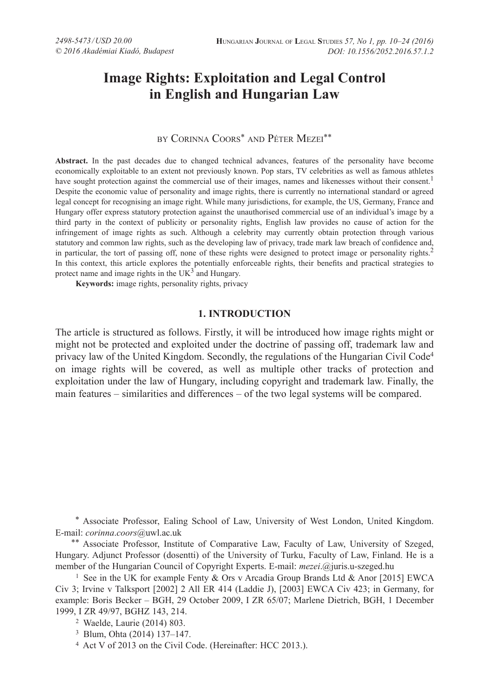# **Image Rights: Exploitation and Legal Control in English and Hungarian Law**

# by Corinna Coors\* and Péter Mezei\*\*

**Abstract.** In the past decades due to changed technical advances, features of the personality have become economically exploitable to an extent not previously known. Pop stars, TV celebrities as well as famous athletes have sought protection against the commercial use of their images, names and likenesses without their consent.<sup>1</sup> Despite the economic value of personality and image rights, there is currently no international standard or agreed legal concept for recognising an image right. While many jurisdictions, for example, the US, Germany, France and Hungary offer express statutory protection against the unauthorised commercial use of an individual's image by a third party in the context of publicity or personality rights, English law provides no cause of action for the infringement of image rights as such. Although a celebrity may currently obtain protection through various statutory and common law rights, such as the developing law of privacy, trade mark law breach of confidence and, in particular, the tort of passing off, none of these rights were designed to protect image or personality rights.<sup>2</sup> In this context, this article explores the potentially enforceable rights, their benefits and practical strategies to protect name and image rights in the  $UK<sup>3</sup>$  and Hungary.

**Keywords:** image rights, personality rights, privacy

# **1. INTRODUCTION**

The article is structured as follows. Firstly, it will be introduced how image rights might or might not be protected and exploited under the doctrine of passing off, trademark law and privacy law of the United Kingdom. Secondly, the regulations of the Hungarian Civil Code4 on image rights will be covered, as well as multiple other tracks of protection and exploitation under the law of Hungary, including copyright and trademark law. Finally, the main features – similarities and differences – of the two legal systems will be compared.

 \*Associate Professor, Ealing School of Law, University of West London, United Kingdom. E-mail: *corinna.coors@uwl.ac.uk*<br>\*\* Associate Professor, Institute of Comparative Law, Faculty of Law, University of Szeged,

Hungary. Adjunct Professor (dosentti) of the University of Turku, Faculty of Law, Finland. He is a member of the Hungarian Council of Copyright Experts. E-mail: *mezei*.@juris.u-szeged.hu

<sup>1</sup> See in the UK for example Fenty & Ors v Arcadia Group Brands Ltd & Anor [2015] EWCA Civ 3; Irvine v Talksport [2002] 2 All ER 414 (Laddie J), [2003] EWCA Civ 423; in Germany, for example: Boris Becker – BGH, 29 October 2009, I ZR 65/07; Marlene Dietrich, BGH, 1 December 1999, I ZR 49/97, BGHZ 143, 214.

<sup>2</sup> Waelde, Laurie (2014) 803.

<sup>3</sup> Blum, Ohta (2014) 137–147.

<sup>4</sup> Act V of 2013 on the Civil Code. (Hereinafter: HCC 2013.).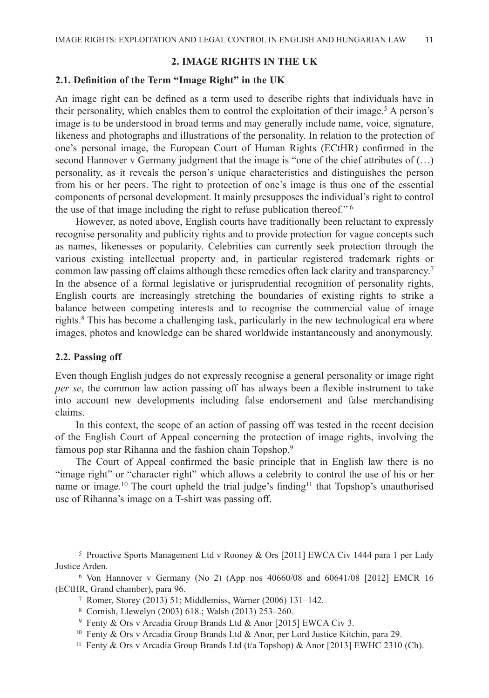# **2. IMAGE RIGHTS IN THE UK**

### **2.1. Definition of the Term "Image Right" in the UK**

An image right can be defined as a term used to describe rights that individuals have in their personality, which enables them to control the exploitation of their image.<sup>5</sup> A person's image is to be understood in broad terms and may generally include name, voice, signature, likeness and photographs and illustrations of the personality. In relation to the protection of one's personal image, the European Court of Human Rights (ECtHR) confirmed in the second Hannover v Germany judgment that the image is "one of the chief attributes of  $(...)$ personality, as it reveals the person's unique characteristics and distinguishes the person from his or her peers. The right to protection of one's image is thus one of the essential components of personal development. It mainly presupposes the individual's right to control the use of that image including the right to refuse publication thereof." 6

However, as noted above, English courts have traditionally been reluctant to expressly recognise personality and publicity rights and to provide protection for vague concepts such as names, likenesses or popularity. Celebrities can currently seek protection through the various existing intellectual property and, in particular registered trademark rights or common law passing off claims although these remedies often lack clarity and transparency.<sup>7</sup> In the absence of a formal legislative or jurisprudential recognition of personality rights, English courts are increasingly stretching the boundaries of existing rights to strike a balance between competing interests and to recognise the commercial value of image rights.<sup>8</sup> This has become a challenging task, particularly in the new technological era where images, photos and knowledge can be shared worldwide instantaneously and anonymously.

#### **2.2. Passing off**

Even though English judges do not expressly recognise a general personality or image right *per se*, the common law action passing off has always been a flexible instrument to take into account new developments including false endorsement and false merchandising claims.

In this context, the scope of an action of passing off was tested in the recent decision of the English Court of Appeal concerning the protection of image rights, involving the famous pop star Rihanna and the fashion chain Topshop.<sup>9</sup>

The Court of Appeal confirmed the basic principle that in English law there is no "image right" or "character right" which allows a celebrity to control the use of his or her name or image.<sup>10</sup> The court upheld the trial judge's finding<sup>11</sup> that Topshop's unauthorised use of Rihanna's image on a T-shirt was passing off.

<sup>5</sup> Proactive Sports Management Ltd v Rooney & Ors [2011] EWCA Civ 1444 para 1 per Lady Justice Arden. 6 Von Hannover v Germany (No 2) (App nos 40660/08 and 60641/08 [2012] EMCR 16

(ECtHR, Grand chamber), para 96.<br>
<sup>7</sup> Romer, Storey (2013) 51; Middlemiss, Warner (2006) 131–142.<br>
<sup>8</sup> Cornish, Llewelyn (2003) 618.; Walsh (2013) 253–260.<br>
<sup>9</sup> Fenty & Ors v Arcadia Group Brands Ltd & Anor [2015] EWCA Ci

- 
- 
- 
- <sup>10</sup> Fenty & Ors v Arcadia Group Brands Ltd & Anor, per Lord Justice Kitchin, para 29.
- <sup>11</sup> Fenty & Ors v Arcadia Group Brands Ltd (t/a Topshop) & Anor [2013] EWHC 2310 (Ch).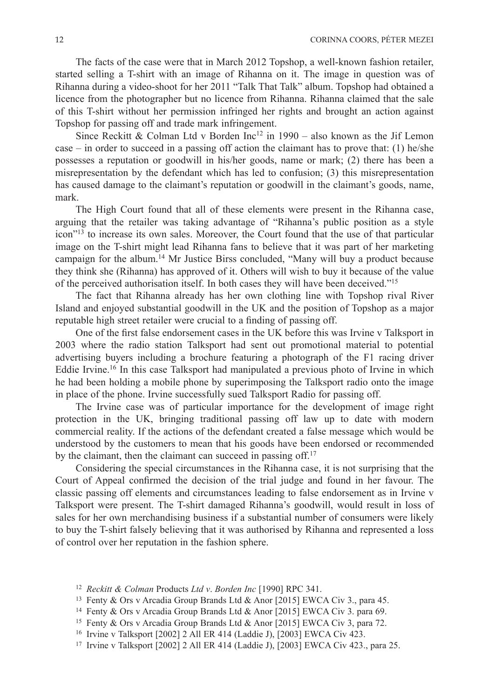The facts of the case were that in March 2012 Topshop, a well-known fashion retailer, started selling a T-shirt with an image of Rihanna on it. The image in question was of Rihanna during a video-shoot for her 2011 "Talk That Talk" album. Topshop had obtained a licence from the photographer but no licence from Rihanna. Rihanna claimed that the sale of this T-shirt without her permission infringed her rights and brought an action against Topshop for passing off and trade mark infringement.

Since Reckitt & Colman Ltd v Borden  $\text{Inc}^{12}$  in 1990 – also known as the Jif Lemon case – in order to succeed in a passing off action the claimant has to prove that: (1) he/she possesses a reputation or goodwill in his/her goods, name or mark; (2) there has been a misrepresentation by the defendant which has led to confusion; (3) this misrepresentation has caused damage to the claimant's reputation or goodwill in the claimant's goods, name, mark.

The High Court found that all of these elements were present in the Rihanna case, arguing that the retailer was taking advantage of "Rihanna's public position as a style icon"13 to increase its own sales. Moreover, the Court found that the use of that particular image on the T-shirt might lead Rihanna fans to believe that it was part of her marketing campaign for the album.14 Mr Justice Birss concluded, "Many will buy a product because they think she (Rihanna) has approved of it. Others will wish to buy it because of the value of the perceived authorisation itself. In both cases they will have been deceived."15

The fact that Rihanna already has her own clothing line with Topshop rival River Island and enjoyed substantial goodwill in the UK and the position of Topshop as a major reputable high street retailer were crucial to a finding of passing off.

One of the first false endorsement cases in the UK before this was Irvine v Talksport in 2003 where the radio station Talksport had sent out promotional material to potential advertising buyers including a brochure featuring a photograph of the F1 racing driver Eddie Irvine.<sup>16</sup> In this case Talksport had manipulated a previous photo of Irvine in which he had been holding a mobile phone by superimposing the Talksport radio onto the image in place of the phone. Irvine successfully sued Talksport Radio for passing off.

The Irvine case was of particular importance for the development of image right protection in the UK, bringing traditional passing off law up to date with modern commercial reality. If the actions of the defendant created a false message which would be understood by the customers to mean that his goods have been endorsed or recommended by the claimant, then the claimant can succeed in passing off.<sup>17</sup>

Considering the special circumstances in the Rihanna case, it is not surprising that the Court of Appeal confirmed the decision of the trial judge and found in her favour. The classic passing off elements and circumstances leading to false endorsement as in Irvine v Talksport were present. The T-shirt damaged Rihanna's goodwill, would result in loss of sales for her own merchandising business if a substantial number of consumers were likely to buy the T-shirt falsely believing that it was authorised by Rihanna and represented a loss of control over her reputation in the fashion sphere.

- <sup>12</sup> *Reckitt & Colman* Products *Ltd v*. *Borden Inc* [1990] RPC 341.
- <sup>13</sup> Fenty & Ors v Arcadia Group Brands Ltd & Anor [2015] EWCA Civ 3., para 45.
- <sup>14</sup> Fenty & Ors v Arcadia Group Brands Ltd & Anor [2015] EWCA Civ 3. para 69.
- <sup>15</sup> Fenty & Ors v Arcadia Group Brands Ltd & Anor [2015] EWCA Civ 3, para 72.
- <sup>16</sup> Irvine v Talksport [2002] 2 All ER 414 (Laddie J), [2003] EWCA Civ 423.
- <sup>17</sup> Irvine v Talksport [2002] 2 All ER 414 (Laddie J), [2003] EWCA Civ 423., para 25.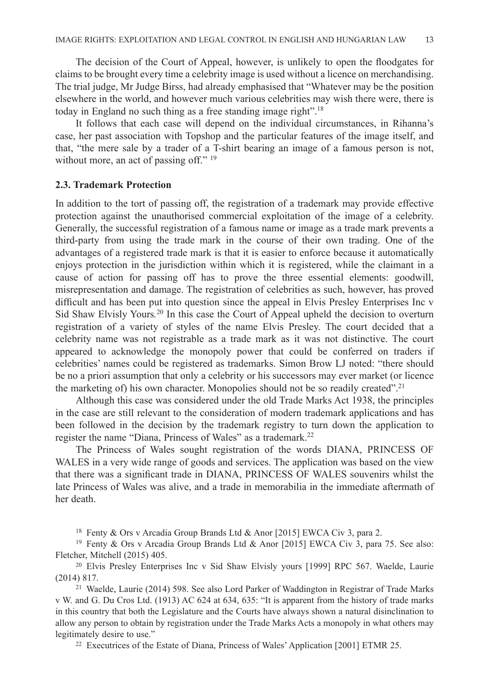The decision of the Court of Appeal, however, is unlikely to open the floodgates for claims to be brought every time a celebrity image is used without a licence on merchandising. The trial judge, Mr Judge Birss, had already emphasised that "Whatever may be the position elsewhere in the world, and however much various celebrities may wish there were, there is today in England no such thing as a free standing image right".18

It follows that each case will depend on the individual circumstances, in Rihanna's case, her past association with Topshop and the particular features of the image itself, and that, "the mere sale by a trader of a T-shirt bearing an image of a famous person is not, without more, an act of passing off." <sup>19</sup>

## **2.3. Trademark Protection**

In addition to the tort of passing off, the registration of a trademark may provide effective protection against the unauthorised commercial exploitation of the image of a celebrity. Generally, the successful registration of a famous name or image as a trade mark prevents a third-party from using the trade mark in the course of their own trading. One of the advantages of a registered trade mark is that it is easier to enforce because it automatically enjoys protection in the jurisdiction within which it is registered, while the claimant in a cause of action for passing off has to prove the three essential elements: goodwill, misrepresentation and damage. The registration of celebrities as such, however, has proved difficult and has been put into question since the appeal in Elvis Presley Enterprises Inc v Sid Shaw Elvisly Yours*.* <sup>20</sup> In this case the Court of Appeal upheld the decision to overturn registration of a variety of styles of the name Elvis Presley. The court decided that a celebrity name was not registrable as a trade mark as it was not distinctive. The court appeared to acknowledge the monopoly power that could be conferred on traders if celebrities' names could be registered as trademarks. Simon Brow LJ noted: "there should be no a priori assumption that only a celebrity or his successors may ever market (or licence the marketing of) his own character. Monopolies should not be so readily created".<sup>21</sup>

Although this case was considered under the old Trade Marks Act 1938, the principles in the case are still relevant to the consideration of modern trademark applications and has been followed in the decision by the trademark registry to turn down the application to register the name "Diana, Princess of Wales" as a trademark.<sup>22</sup>

The Princess of Wales sought registration of the words DIANA, PRINCESS OF WALES in a very wide range of goods and services. The application was based on the view that there was a significant trade in DIANA, PRINCESS OF WALES souvenirs whilst the late Princess of Wales was alive, and a trade in memorabilia in the immediate aftermath of her death.

<sup>18</sup> Fenty & Ors v Arcadia Group Brands Ltd & Anor [2015] EWCA Civ 3, para 2.

<sup>19</sup> Fenty & Ors v Arcadia Group Brands Ltd & Anor [2015] EWCA Civ 3, para 75. See also: Fletcher, Mitchell (2015) 405.

<sup>20</sup> Elvis Presley Enterprises Inc v Sid Shaw Elvisly yours [1999] RPC 567. Waelde, Laurie (2014) 817.

<sup>21</sup> Waelde, Laurie (2014) 598. See also Lord Parker of Waddington in Registrar of Trade Marks v W. and G. Du Cros Ltd. (1913) AC 624 at 634, 635: "It is apparent from the history of trade marks in this country that both the Legislature and the Courts have always shown a natural disinclination to allow any person to obtain by registration under the Trade Marks Acts a monopoly in what others may legitimately desire to use."

<sup>22</sup> Executrices of the Estate of Diana, Princess of Wales' Application [2001] ETMR 25.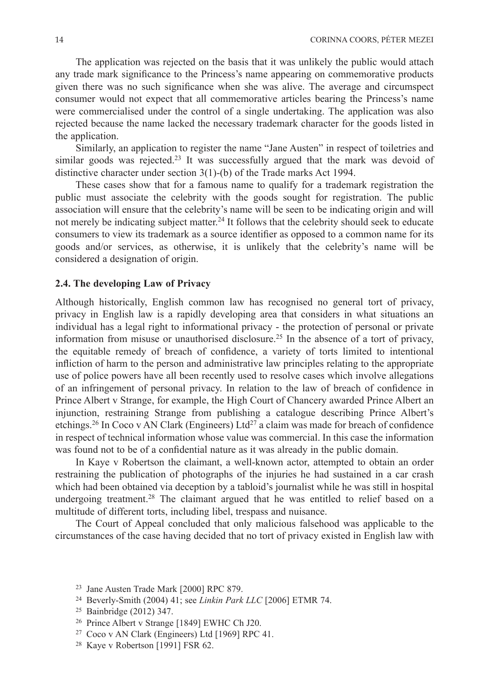The application was rejected on the basis that it was unlikely the public would attach any trade mark significance to the Princess's name appearing on commemorative products given there was no such significance when she was alive. The average and circumspect consumer would not expect that all commemorative articles bearing the Princess's name were commercialised under the control of a single undertaking. The application was also rejected because the name lacked the necessary trademark character for the goods listed in the application.

Similarly, an application to register the name "Jane Austen" in respect of toiletries and similar goods was rejected.<sup>23</sup> It was successfully argued that the mark was devoid of distinctive character under section 3(1)-(b) of the Trade marks Act 1994.

These cases show that for a famous name to qualify for a trademark registration the public must associate the celebrity with the goods sought for registration. The public association will ensure that the celebrity's name will be seen to be indicating origin and will not merely be indicating subject matter.<sup>24</sup> It follows that the celebrity should seek to educate consumers to view its trademark as a source identifier as opposed to a common name for its goods and/or services, as otherwise, it is unlikely that the celebrity's name will be considered a designation of origin.

# **2.4. The developing Law of Privacy**

Although historically, English common law has recognised no general tort of privacy, privacy in English law is a rapidly developing area that considers in what situations an individual has a legal right to informational privacy - the protection of personal or private information from misuse or unauthorised disclosure.<sup>25</sup> In the absence of a tort of privacy, the equitable remedy of breach of confidence, a variety of torts limited to intentional infliction of harm to the person and administrative law principles relating to the appropriate use of police powers have all been recently used to resolve cases which involve allegations of an infringement of personal privacy. In relation to the law of breach of confidence in Prince Albert v Strange, for example, the High Court of Chancery awarded Prince Albert an injunction, restraining Strange from publishing a catalogue describing Prince Albert's etchings.<sup>26</sup> In Coco v AN Clark (Engineers) Ltd<sup>27</sup> a claim was made for breach of confidence in respect of technical information whose value was commercial. In this case the information was found not to be of a confidential nature as it was already in the public domain.

In Kaye v Robertson the claimant, a well-known actor, attempted to obtain an order restraining the publication of photographs of the injuries he had sustained in a car crash which had been obtained via deception by a tabloid's journalist while he was still in hospital undergoing treatment.<sup>28</sup> The claimant argued that he was entitled to relief based on a multitude of different torts, including libel, trespass and nuisance.

The Court of Appeal concluded that only malicious falsehood was applicable to the circumstances of the case having decided that no tort of privacy existed in English law with

- <sup>23</sup> Jane Austen Trade Mark [2000] RPC 879.
- <sup>24</sup> Beverly-Smith (2004) 41; see *Linkin Park LLC* [2006] ETMR 74.
- <sup>25</sup> Bainbridge (2012) 347.
- <sup>26</sup> Prince Albert v Strange [1849] EWHC Ch J20.
- <sup>27</sup> Coco v AN Clark (Engineers) Ltd [1969] RPC 41.
- <sup>28</sup> Kaye v Robertson [1991] FSR 62.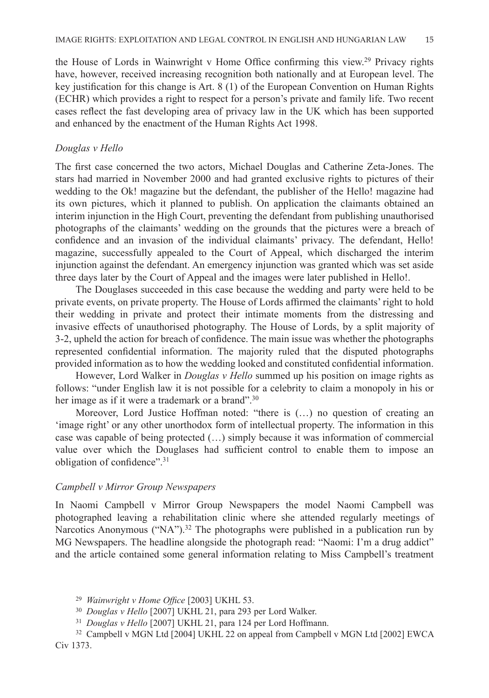the House of Lords in Wainwright v Home Office confirming this view.<sup>29</sup> Privacy rights have, however, received increasing recognition both nationally and at European level. The key justification for this change is Art. 8 (1) of the European Convention on Human Rights (ECHR) which provides a right to respect for a person's private and family life. Two recent cases reflect the fast developing area of privacy law in the UK which has been supported and enhanced by the enactment of the Human Rights Act 1998.

#### *Douglas v Hello*

The first case concerned the two actors, Michael Douglas and Catherine Zeta-Jones. The stars had married in November 2000 and had granted exclusive rights to pictures of their wedding to the Ok! magazine but the defendant, the publisher of the Hello! magazine had its own pictures, which it planned to publish. On application the claimants obtained an interim injunction in the High Court, preventing the defendant from publishing unauthorised photographs of the claimants' wedding on the grounds that the pictures were a breach of confidence and an invasion of the individual claimants' privacy. The defendant, Hello! magazine, successfully appealed to the Court of Appeal, which discharged the interim injunction against the defendant. An emergency injunction was granted which was set aside three days later by the Court of Appeal and the images were later published in Hello!.

The Douglases succeeded in this case because the wedding and party were held to be private events, on private property. The House of Lords affirmed the claimants' right to hold their wedding in private and protect their intimate moments from the distressing and invasive effects of unauthorised photography. The House of Lords, by a split majority of 3-2, upheld the action for breach of confidence. The main issue was whether the photographs represented confidential information. The majority ruled that the disputed photographs provided information as to how the wedding looked and constituted confidential information.

However, Lord Walker in *Douglas v Hello* summed up his position on image rights as follows: "under English law it is not possible for a celebrity to claim a monopoly in his or her image as if it were a trademark or a brand".<sup>30</sup>

Moreover, Lord Justice Hoffman noted: "there is (…) no question of creating an 'image right' or any other unorthodox form of intellectual property. The information in this case was capable of being protected (…) simply because it was information of commercial value over which the Douglases had sufficient control to enable them to impose an obligation of confidence".<sup>31</sup>

#### *Campbell v Mirror Group Newspapers*

In Naomi Campbell v Mirror Group Newspapers the model Naomi Campbell was photographed leaving a rehabilitation clinic where she attended regularly meetings of Narcotics Anonymous ("NA").<sup>32</sup> The photographs were published in a publication run by MG Newspapers. The headline alongside the photograph read: "Naomi: I'm a drug addict" and the article contained some general information relating to Miss Campbell's treatment

- <sup>30</sup> *Douglas v Hello* [2007] UKHL 21, para 293 per Lord Walker.
- <sup>31</sup> *Douglas v Hello* [2007] UKHL 21, para 124 per Lord Hoffmann.

<sup>29</sup> *Wainwright v Home Office* [2003] UKHL 53.

<sup>32</sup> Campbell v MGN Ltd [2004] UKHL 22 on appeal from Campbell v MGN Ltd [2002] EWCA Civ 1373.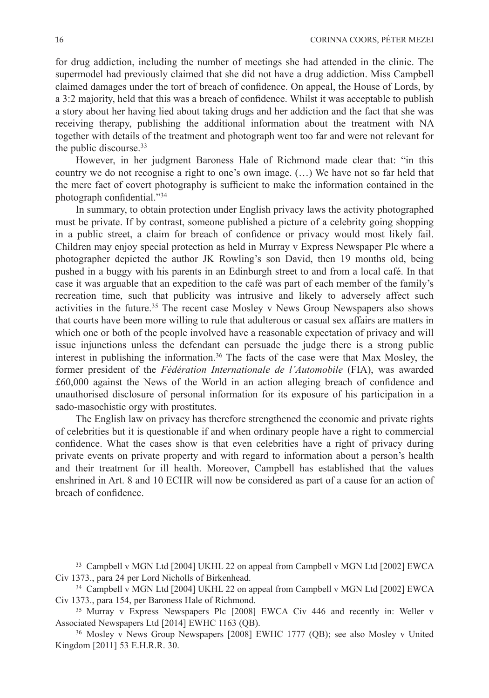for drug addiction, including the number of meetings she had attended in the clinic. The supermodel had previously claimed that she did not have a drug addiction. Miss Campbell claimed damages under the tort of breach of confidence. On appeal, the House of Lords, by a 3:2 majority, held that this was a breach of confidence. Whilst it was acceptable to publish a story about her having lied about taking drugs and her addiction and the fact that she was receiving therapy, publishing the additional information about the treatment with NA together with details of the treatment and photograph went too far and were not relevant for the public discourse.<sup>33</sup>

However, in her judgment Baroness Hale of Richmond made clear that: "in this country we do not recognise a right to one's own image. (…) We have not so far held that the mere fact of covert photography is sufficient to make the information contained in the photograph confidential."<sup>34</sup>

In summary, to obtain protection under English privacy laws the activity photographed must be private. If by contrast, someone published a picture of a celebrity going shopping in a public street, a claim for breach of confidence or privacy would most likely fail. Children may enjoy special protection as held in Murray v Express Newspaper Plc where a photographer depicted the author JK Rowling's son David, then 19 months old, being pushed in a buggy with his parents in an Edinburgh street to and from a local café. In that case it was arguable that an expedition to the café was part of each member of the family's recreation time, such that publicity was intrusive and likely to adversely affect such activities in the future.<sup>35</sup> The recent case Mosley v News Group Newspapers also shows that courts have been more willing to rule that adulterous or casual sex affairs are matters in which one or both of the people involved have a reasonable expectation of privacy and will issue injunctions unless the defendant can persuade the judge there is a strong public interest in publishing the information.36 The facts of the case were that Max Mosley, the former president of the *Fédération Internationale de l'Automobile* (FIA), was awarded £60,000 against the News of the World in an action alleging breach of confidence and unauthorised disclosure of personal information for its exposure of his participation in a sado-masochistic orgy with prostitutes.

The English law on privacy has therefore strengthened the economic and private rights of celebrities but it is questionable if and when ordinary people have a right to commercial confidence. What the cases show is that even celebrities have a right of privacy during private events on private property and with regard to information about a person's health and their treatment for ill health. Moreover, Campbell has established that the values enshrined in Art. 8 and 10 ECHR will now be considered as part of a cause for an action of breach of confidence.

<sup>33</sup> Campbell v MGN Ltd [2004] UKHL 22 on appeal from Campbell v MGN Ltd [2002] EWCA Civ 1373., para 24 per Lord Nicholls of Birkenhead.

<sup>34</sup> Campbell v MGN Ltd [2004] UKHL 22 on appeal from Campbell v MGN Ltd [2002] EWCA Civ 1373., para 154, per Baroness Hale of Richmond.

<sup>&</sup>lt;sup>35</sup> Murray v Express Newspapers Plc [2008] EWCA Civ 446 and recently in: Weller v Associated Newspapers Ltd [2014] EWHC 1163 (QB).

<sup>&</sup>lt;sup>36</sup> Mosley v News Group Newspapers [2008] EWHC 1777 (QB); see also Mosley v United Kingdom [2011] 53 E.H.R.R. 30.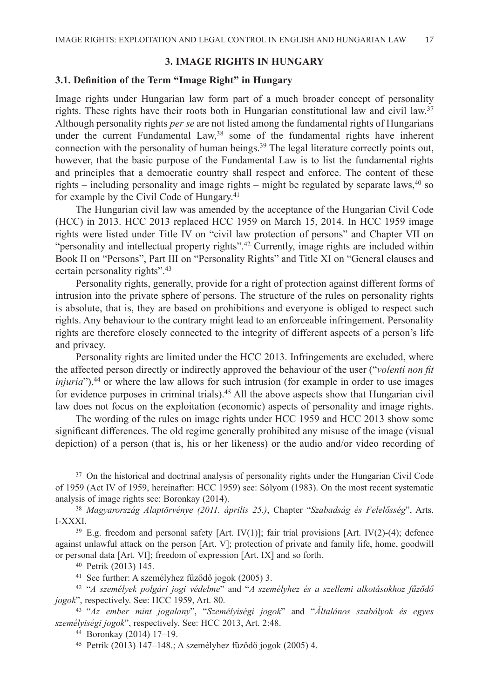# **3. IMAGE RIGHTS IN HUNGARY**

# **3.1. Definition of the Term "Image Right" in Hungary**

Image rights under Hungarian law form part of a much broader concept of personality rights. These rights have their roots both in Hungarian constitutional law and civil law.37 Although personality rights *per se* are not listed among the fundamental rights of Hungarians under the current Fundamental Law,<sup>38</sup> some of the fundamental rights have inherent connection with the personality of human beings.<sup>39</sup> The legal literature correctly points out, however, that the basic purpose of the Fundamental Law is to list the fundamental rights and principles that a democratic country shall respect and enforce. The content of these rights – including personality and image rights – might be regulated by separate laws,  $40$  so for example by the Civil Code of Hungary.<sup>41</sup>

The Hungarian civil law was amended by the acceptance of the Hungarian Civil Code (HCC) in 2013. HCC 2013 replaced HCC 1959 on March 15, 2014. In HCC 1959 image rights were listed under Title IV on "civil law protection of persons" and Chapter VII on "personality and intellectual property rights".<sup>42</sup> Currently, image rights are included within Book II on "Persons", Part III on "Personality Rights" and Title XI on "General clauses and certain personality rights".<sup>43</sup>

Personality rights, generally, provide for a right of protection against different forms of intrusion into the private sphere of persons. The structure of the rules on personality rights is absolute, that is, they are based on prohibitions and everyone is obliged to respect such rights. Any behaviour to the contrary might lead to an enforceable infringement. Personality rights are therefore closely connected to the integrity of different aspects of a person's life and privacy.

Personality rights are limited under the HCC 2013. Infringements are excluded, where the affected person directly or indirectly approved the behaviour of the user ("*volenti non fit injuria*"),<sup>44</sup> or where the law allows for such intrusion (for example in order to use images for evidence purposes in criminal trials).<sup>45</sup> All the above aspects show that Hungarian civil law does not focus on the exploitation (economic) aspects of personality and image rights.

The wording of the rules on image rights under HCC 1959 and HCC 2013 show some significant differences. The old regime generally prohibited any misuse of the image (visual depiction) of a person (that is, his or her likeness) or the audio and/or video recording of

<sup>37</sup> On the historical and doctrinal analysis of personality rights under the Hungarian Civil Code of 1959 (Act IV of 1959, hereinafter: HCC 1959) see: Sólyom (1983). On the most recent systematic analysis of image rights see: Boronkay (2014).

<sup>38</sup> *Magyarország Alaptörvénye (2011. április 25.)*, Chapter "*Szabadság és Felelősség*", Arts. I-XXXI.

<sup>39</sup> E.g. freedom and personal safety [Art. IV(1)]; fair trial provisions [Art. IV(2)-(4); defence against unlawful attack on the person [Art. V]; protection of private and family life, home, goodwill or personal data [Art. VI]; freedom of expression [Art. IX] and so forth.

<sup>40</sup> Petrik (2013) 145.

<sup>41</sup> See further: A személyhez fűződő jogok (2005) 3.

<sup>42</sup> "*A személyek polgári jogi védelme*" and "*A személyhez és a szellemi alkotásokhoz fűződő jogok*", respectively. See: HCC 1959, Art. 80.

<sup>43</sup> "*Az ember mint jogalany*", "*Személyiségi jogok*" and "*Általános szabályok és egyes személyiségi jogok*", respectively. See: HCC 2013, Art. 2:48.

<sup>44</sup> Boronkay (2014) 17–19.

<sup>45</sup> Petrik (2013) 147–148.; A személyhez fűződő jogok (2005) 4.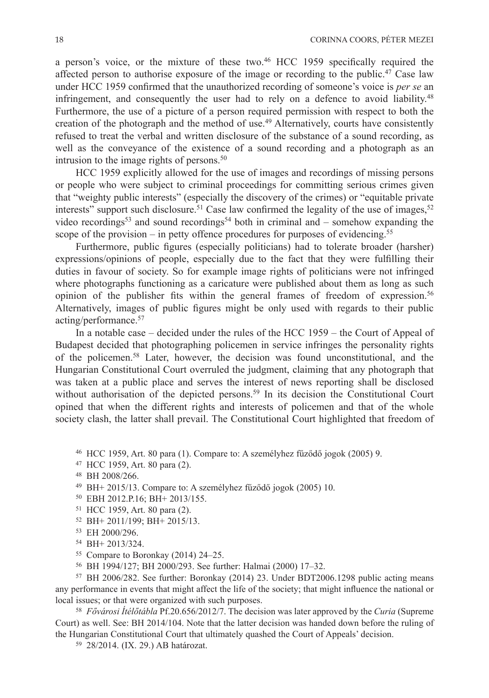a person's voice, or the mixture of these two.<sup>46</sup> HCC 1959 specifically required the affected person to authorise exposure of the image or recording to the public.<sup>47</sup> Case law under HCC 1959 confirmed that the unauthorized recording of someone's voice is *per se* an infringement, and consequently the user had to rely on a defence to avoid liability.<sup>48</sup> Furthermore, the use of a picture of a person required permission with respect to both the creation of the photograph and the method of use.<sup>49</sup> Alternatively, courts have consistently refused to treat the verbal and written disclosure of the substance of a sound recording, as well as the conveyance of the existence of a sound recording and a photograph as an intrusion to the image rights of persons. $50$ 

HCC 1959 explicitly allowed for the use of images and recordings of missing persons or people who were subject to criminal proceedings for committing serious crimes given that "weighty public interests" (especially the discovery of the crimes) or "equitable private interests" support such disclosure.<sup>51</sup> Case law confirmed the legality of the use of images,<sup>52</sup> video recordings<sup>53</sup> and sound recordings<sup>54</sup> both in criminal and – somehow expanding the scope of the provision – in petty offence procedures for purposes of evidencing.<sup>55</sup>

Furthermore, public figures (especially politicians) had to tolerate broader (harsher) expressions/opinions of people, especially due to the fact that they were fulfilling their duties in favour of society. So for example image rights of politicians were not infringed where photographs functioning as a caricature were published about them as long as such opinion of the publisher fits within the general frames of freedom of expression.<sup>56</sup> Alternatively, images of public figures might be only used with regards to their public acting/performance.57

In a notable case – decided under the rules of the HCC 1959 – the Court of Appeal of Budapest decided that photographing policemen in service infringes the personality rights of the policemen.58 Later, however, the decision was found unconstitutional, and the Hungarian Constitutional Court overruled the judgment, claiming that any photograph that was taken at a public place and serves the interest of news reporting shall be disclosed without authorisation of the depicted persons.<sup>59</sup> In its decision the Constitutional Court opined that when the different rights and interests of policemen and that of the whole society clash, the latter shall prevail. The Constitutional Court highlighted that freedom of

- <sup>46</sup> HCC 1959, Art. 80 para (1). Compare to: A személyhez fűződő jogok (2005) 9.
- <sup>47</sup> HCC 1959, Art. 80 para (2).

- <sup>49</sup> BH+ 2015/13. Compare to: A személyhez fűződő jogok (2005) 10.
- <sup>50</sup> EBH 2012.P.16; BH+ 2013/155.
- <sup>51</sup> HCC 1959, Art. 80 para (2).
- <sup>52</sup> BH+ 2011/199; BH+ 2015/13.
- <sup>53</sup> EH 2000/296.
- <sup>54</sup> BH+ 2013/324.
- <sup>55</sup> Compare to Boronkay (2014) 24–25.
- <sup>56</sup> BH 1994/127; BH 2000/293. See further: Halmai (2000) 17–32.

<sup>57</sup> BH 2006/282. See further: Boronkay (2014) 23. Under BDT2006.1298 public acting means any performance in events that might affect the life of the society; that might influence the national or local issues; or that were organized with such purposes.

<sup>58</sup> *Fővárosi Ítélőtábla* Pf.20.656/2012/7. The decision was later approved by the *Curia* (Supreme Court) as well. See: BH 2014/104. Note that the latter decision was handed down before the ruling of the Hungarian Constitutional Court that ultimately quashed the Court of Appeals' decision.

<sup>59</sup> 28/2014. (IX. 29.) AB határozat.

<sup>48</sup> BH 2008/266.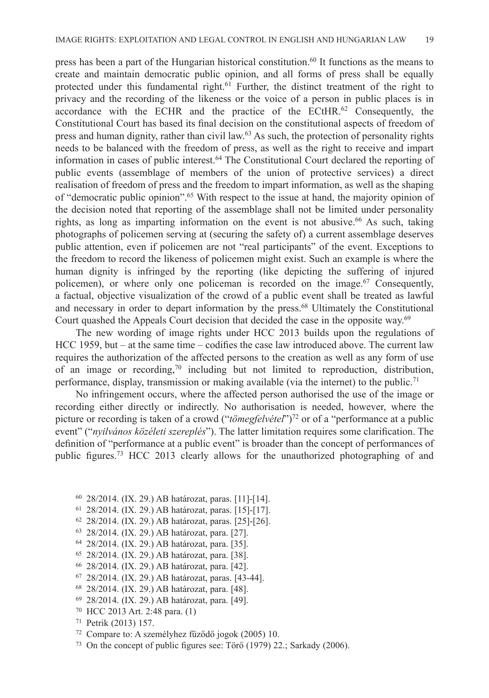press has been a part of the Hungarian historical constitution.<sup>60</sup> It functions as the means to create and maintain democratic public opinion, and all forms of press shall be equally protected under this fundamental right.61 Further, the distinct treatment of the right to privacy and the recording of the likeness or the voice of a person in public places is in accordance with the ECHR and the practice of the ECtHR.<sup>62</sup> Consequently, the Constitutional Court has based its final decision on the constitutional aspects of freedom of press and human dignity, rather than civil law.<sup>63</sup> As such, the protection of personality rights needs to be balanced with the freedom of press, as well as the right to receive and impart information in cases of public interest.64 The Constitutional Court declared the reporting of public events (assemblage of members of the union of protective services) a direct realisation of freedom of press and the freedom to impart information, as well as the shaping of "democratic public opinion".65 With respect to the issue at hand, the majority opinion of the decision noted that reporting of the assemblage shall not be limited under personality rights, as long as imparting information on the event is not abusive.<sup>66</sup> As such, taking photographs of policemen serving at (securing the safety of) a current assemblage deserves public attention, even if policemen are not "real participants" of the event. Exceptions to the freedom to record the likeness of policemen might exist. Such an example is where the human dignity is infringed by the reporting (like depicting the suffering of injured policemen), or where only one policeman is recorded on the image.<sup>67</sup> Consequently, a factual, objective visualization of the crowd of a public event shall be treated as lawful and necessary in order to depart information by the press.<sup>68</sup> Ultimately the Constitutional Court quashed the Appeals Court decision that decided the case in the opposite way.<sup>69</sup>

The new wording of image rights under HCC 2013 builds upon the regulations of HCC 1959, but – at the same time – codifies the case law introduced above. The current law requires the authorization of the affected persons to the creation as well as any form of use of an image or recording,<sup>70</sup> including but not limited to reproduction, distribution, performance, display, transmission or making available (via the internet) to the public.<sup>71</sup>

No infringement occurs, where the affected person authorised the use of the image or recording either directly or indirectly. No authorisation is needed, however, where the picture or recording is taken of a crowd ("*tömegfelvétel*")<sup>72</sup> or of a "performance at a public event" ("*nyilvános közéleti szereplés*"). The latter limitation requires some clarification. The definition of "performance at a public event" is broader than the concept of performances of public figures.73 HCC 2013 clearly allows for the unauthorized photographing of and

- <sup>60</sup> 28/2014. (IX. 29.) AB határozat, paras. [11]-[14].
- <sup>61</sup> 28/2014. (IX. 29.) AB határozat, paras. [15]-[17].
- <sup>62</sup> 28/2014. (IX. 29.) AB határozat, paras. [25]-[26].
- <sup>63</sup> 28/2014. (IX. 29.) AB határozat, para. [27].
- <sup>64</sup> 28/2014. (IX. 29.) AB határozat, para. [35].
- <sup>65</sup> 28/2014. (IX. 29.) AB határozat, para. [38].
- <sup>66</sup> 28/2014. (IX. 29.) AB határozat, para. [42].
- <sup>67</sup> 28/2014. (IX. 29.) AB határozat, paras. [43-44].
- <sup>68</sup> 28/2014. (IX. 29.) AB határozat, para. [48].
- <sup>69</sup> 28/2014. (IX. 29.) AB határozat, para. [49].
- <sup>70</sup> HCC 2013 Art. 2:48 para. (1)
- <sup>71</sup> Petrik (2013) 157.
- <sup>72</sup> Compare to: A személyhez fűződő jogok (2005) 10.
- <sup>73</sup> On the concept of public figures see: Törő (1979) 22.; Sarkady (2006).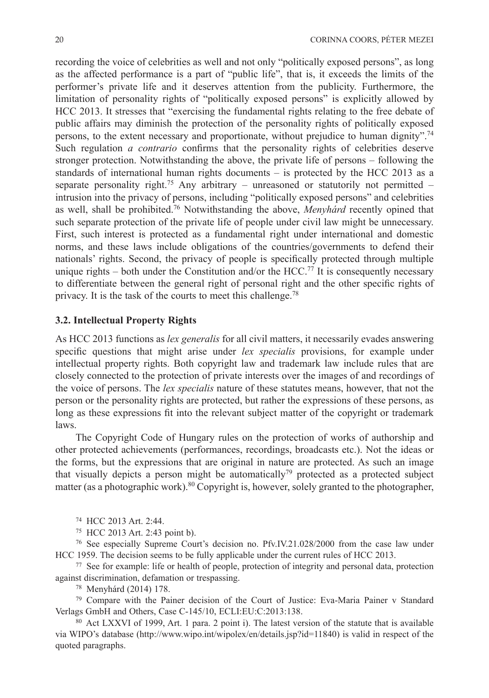recording the voice of celebrities as well and not only "politically exposed persons", as long as the affected performance is a part of "public life", that is, it exceeds the limits of the performer's private life and it deserves attention from the publicity. Furthermore, the limitation of personality rights of "politically exposed persons" is explicitly allowed by HCC 2013. It stresses that "exercising the fundamental rights relating to the free debate of public affairs may diminish the protection of the personality rights of politically exposed persons, to the extent necessary and proportionate, without prejudice to human dignity".74 Such regulation *a contrario* confirms that the personality rights of celebrities deserve stronger protection. Notwithstanding the above, the private life of persons – following the standards of international human rights documents – is protected by the HCC 2013 as a separate personality right.<sup>75</sup> Any arbitrary – unreasoned or statutorily not permitted – intrusion into the privacy of persons, including "politically exposed persons" and celebrities as well, shall be prohibited.76 Notwithstanding the above, *Menyhárd* recently opined that such separate protection of the private life of people under civil law might be unnecessary. First, such interest is protected as a fundamental right under international and domestic norms, and these laws include obligations of the countries/governments to defend their nationals' rights. Second, the privacy of people is specifically protected through multiple unique rights – both under the Constitution and/or the HCC.<sup>77</sup> It is consequently necessary to differentiate between the general right of personal right and the other specific rights of privacy. It is the task of the courts to meet this challenge.78

## **3.2. Intellectual Property Rights**

As HCC 2013 functions as *lex generalis* for all civil matters, it necessarily evades answering specific questions that might arise under *lex specialis* provisions, for example under intellectual property rights. Both copyright law and trademark law include rules that are closely connected to the protection of private interests over the images of and recordings of the voice of persons. The *lex specialis* nature of these statutes means, however, that not the person or the personality rights are protected, but rather the expressions of these persons, as long as these expressions fit into the relevant subject matter of the copyright or trademark laws.

The Copyright Code of Hungary rules on the protection of works of authorship and other protected achievements (performances, recordings, broadcasts etc.). Not the ideas or the forms, but the expressions that are original in nature are protected. As such an image that visually depicts a person might be automatically<sup>79</sup> protected as a protected subject matter (as a photographic work).<sup>80</sup> Copyright is, however, solely granted to the photographer,

<sup>74</sup> HCC 2013 Art. 2:44.

<sup>75</sup> HCC 2013 Art. 2:43 point b).

<sup>76</sup> See especially Supreme Court's decision no. Pfv.IV.21.028/2000 from the case law under HCC 1959. The decision seems to be fully applicable under the current rules of HCC 2013.

<sup>77</sup> See for example: life or health of people, protection of integrity and personal data, protection against discrimination, defamation or trespassing.

<sup>78</sup> Menyhárd (2014) 178.

<sup>79</sup> Compare with the Painer decision of the Court of Justice: Eva-Maria Painer v Standard Verlags GmbH and Others, Case C-145/10, ECLI:EU:C:2013:138.

<sup>80</sup> Act LXXVI of 1999, Art. 1 para. 2 point i). The latest version of the statute that is available via WIPO's database (http://www.wipo.int/wipolex/en/details.jsp?id=11840) is valid in respect of the quoted paragraphs.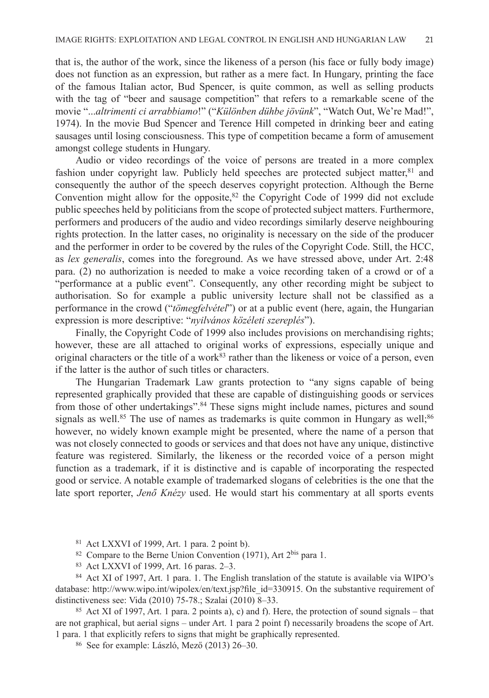that is, the author of the work, since the likeness of a person (his face or fully body image) does not function as an expression, but rather as a mere fact. In Hungary, printing the face of the famous Italian actor, Bud Spencer, is quite common, as well as selling products with the tag of "beer and sausage competition" that refers to a remarkable scene of the movie "...*altrimenti ci arrabbiamo*!" ("*Különben dühbe jövünk*", "Watch Out, We're Mad!", 1974). In the movie Bud Spencer and Terence Hill competed in drinking beer and eating sausages until losing consciousness. This type of competition became a form of amusement amongst college students in Hungary.

Audio or video recordings of the voice of persons are treated in a more complex fashion under copyright law. Publicly held speeches are protected subject matter, $81$  and consequently the author of the speech deserves copyright protection. Although the Berne Convention might allow for the opposite, $82$  the Copyright Code of 1999 did not exclude public speeches held by politicians from the scope of protected subject matters. Furthermore, performers and producers of the audio and video recordings similarly deserve neighbouring rights protection. In the latter cases, no originality is necessary on the side of the producer and the performer in order to be covered by the rules of the Copyright Code. Still, the HCC, as *lex generalis*, comes into the foreground. As we have stressed above, under Art. 2:48 para. (2) no authorization is needed to make a voice recording taken of a crowd or of a "performance at a public event". Consequently, any other recording might be subject to authorisation. So for example a public university lecture shall not be classified as a performance in the crowd ("*tömegfelvétel*") or at a public event (here, again, the Hungarian expression is more descriptive: "*nyilvános közéleti szereplés*").

Finally, the Copyright Code of 1999 also includes provisions on merchandising rights; however, these are all attached to original works of expressions, especially unique and original characters or the title of a work<sup>83</sup> rather than the likeness or voice of a person, even if the latter is the author of such titles or characters.

The Hungarian Trademark Law grants protection to "any signs capable of being represented graphically provided that these are capable of distinguishing goods or services from those of other undertakings".<sup>84</sup> These signs might include names, pictures and sound signals as well.<sup>85</sup> The use of names as trademarks is quite common in Hungary as well;<sup>86</sup> however, no widely known example might be presented, where the name of a person that was not closely connected to goods or services and that does not have any unique, distinctive feature was registered. Similarly, the likeness or the recorded voice of a person might function as a trademark, if it is distinctive and is capable of incorporating the respected good or service. A notable example of trademarked slogans of celebrities is the one that the late sport reporter, *Jenő Knézy* used. He would start his commentary at all sports events

- <sup>82</sup> Compare to the Berne Union Convention (1971), Art  $2^{\text{bis}}$  para 1.
- <sup>83</sup> Act LXXVI of 1999, Art. 16 paras. 2–3.

<sup>84</sup> Act XI of 1997, Art. 1 para. 1. The English translation of the statute is available via WIPO's database: http://www.wipo.int/wipolex/en/text.jsp?file\_id=330915. On the substantive requirement of distinctiveness see: Vida (2010) 75-78.; Szalai (2010) 8–33.

<sup>85</sup> Act XI of 1997, Art. 1 para. 2 points a), c) and f). Here, the protection of sound signals – that are not graphical, but aerial signs – under Art. 1 para 2 point f) necessarily broadens the scope of Art. 1 para. 1 that explicitly refers to signs that might be graphically represented.

<sup>86</sup> See for example: László, Mező (2013) 26–30.

<sup>81</sup> Act LXXVI of 1999, Art. 1 para. 2 point b).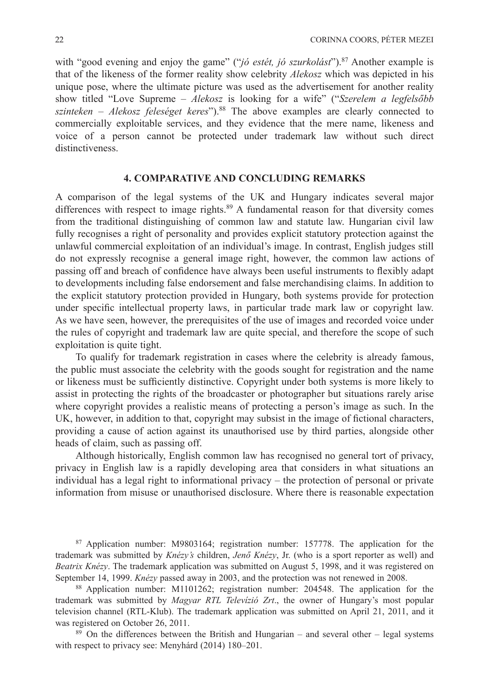with "good evening and enjoy the game" ("*jó estét, jó szurkolást*").<sup>87</sup> Another example is that of the likeness of the former reality show celebrity *Alekosz* which was depicted in his unique pose, where the ultimate picture was used as the advertisement for another reality show titled "Love Supreme – *Alekosz* is looking for a wife" ("*Szerelem a legfelsőbb szinteken – Alekosz feleséget keres*").88 The above examples are clearly connected to commercially exploitable services, and they evidence that the mere name, likeness and voice of a person cannot be protected under trademark law without such direct distinctiveness.

#### **4. COMPARATIVE AND CONCLUDING REMARKS**

A comparison of the legal systems of the UK and Hungary indicates several major differences with respect to image rights.<sup>89</sup> A fundamental reason for that diversity comes from the traditional distinguishing of common law and statute law. Hungarian civil law fully recognises a right of personality and provides explicit statutory protection against the unlawful commercial exploitation of an individual's image. In contrast, English judges still do not expressly recognise a general image right, however, the common law actions of passing off and breach of confidence have always been useful instruments to flexibly adapt to developments including false endorsement and false merchandising claims. In addition to the explicit statutory protection provided in Hungary, both systems provide for protection under specific intellectual property laws, in particular trade mark law or copyright law. As we have seen, however, the prerequisites of the use of images and recorded voice under the rules of copyright and trademark law are quite special, and therefore the scope of such exploitation is quite tight.

To qualify for trademark registration in cases where the celebrity is already famous, the public must associate the celebrity with the goods sought for registration and the name or likeness must be sufficiently distinctive. Copyright under both systems is more likely to assist in protecting the rights of the broadcaster or photographer but situations rarely arise where copyright provides a realistic means of protecting a person's image as such. In the UK, however, in addition to that, copyright may subsist in the image of fictional characters, providing a cause of action against its unauthorised use by third parties, alongside other heads of claim, such as passing off.

Although historically, English common law has recognised no general tort of privacy, privacy in English law is a rapidly developing area that considers in what situations an individual has a legal right to informational privacy – the protection of personal or private information from misuse or unauthorised disclosure. Where there is reasonable expectation

<sup>87</sup> Application number: M9803164; registration number: 157778. The application for the trademark was submitted by *Knézy's* children, *Jenő Knézy*, Jr. (who is a sport reporter as well) and *Beatrix Knézy*. The trademark application was submitted on August 5, 1998, and it was registered on September 14, 1999. *Knézy* passed away in 2003, and the protection was not renewed in 2008.

<sup>88</sup> Application number: M1101262; registration number: 204548. The application for the trademark was submitted by *Magyar RTL Televízió Zrt*., the owner of Hungary's most popular television channel (RTL-Klub). The trademark application was submitted on April 21, 2011, and it was registered on October 26, 2011.

<sup>89</sup> On the differences between the British and Hungarian – and several other – legal systems with respect to privacy see: Menyhárd (2014) 180–201.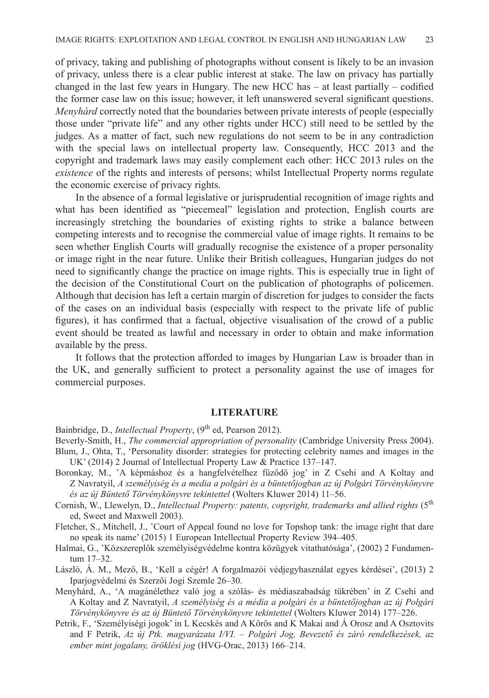of privacy, taking and publishing of photographs without consent is likely to be an invasion of privacy, unless there is a clear public interest at stake. The law on privacy has partially changed in the last few years in Hungary. The new HCC has – at least partially – codified the former case law on this issue; however, it left unanswered several significant questions. *Menyhárd* correctly noted that the boundaries between private interests of people (especially those under "private life" and any other rights under HCC) still need to be settled by the judges. As a matter of fact, such new regulations do not seem to be in any contradiction with the special laws on intellectual property law. Consequently, HCC 2013 and the copyright and trademark laws may easily complement each other: HCC 2013 rules on the *existence* of the rights and interests of persons; whilst Intellectual Property norms regulate the economic exercise of privacy rights.

In the absence of a formal legislative or jurisprudential recognition of image rights and what has been identified as "piecemeal" legislation and protection, English courts are increasingly stretching the boundaries of existing rights to strike a balance between competing interests and to recognise the commercial value of image rights. It remains to be seen whether English Courts will gradually recognise the existence of a proper personality or image right in the near future. Unlike their British colleagues, Hungarian judges do not need to significantly change the practice on image rights. This is especially true in light of the decision of the Constitutional Court on the publication of photographs of policemen. Although that decision has left a certain margin of discretion for judges to consider the facts of the cases on an individual basis (especially with respect to the private life of public figures), it has confirmed that a factual, objective visualisation of the crowd of a public event should be treated as lawful and necessary in order to obtain and make information available by the press.

It follows that the protection afforded to images by Hungarian Law is broader than in the UK, and generally sufficient to protect a personality against the use of images for commercial purposes.

# **LITERATURE**

Bainbridge, D., *Intellectual Property*, (9<sup>th</sup> ed, Pearson 2012).

Beverly-Smith, H., *The commercial appropriation of personality* (Cambridge University Press 2004).

- Blum, J., Ohta, T., 'Personality disorder: strategies for protecting celebrity names and images in the UK' (2014) 2 Journal of Intellectual Property Law & Practice 137–147.
- Boronkay, M., 'A képmáshoz és a hangfelvételhez fűződő jog' in Z Csehi and A Koltay and Z Navratyil, *A személyiség és a media a polgári és a büntetőjogban az új Polgári Törvénykönyvre és az új Büntető Törvénykönyvre tekintettel* (Wolters Kluwer 2014) 11–56.
- Cornish, W., Llewelyn, D., *Intellectual Property: patents, copyright, trademarks and allied rights* (5th ed, Sweet and Maxwell 2003).

Fletcher, S., Mitchell, J., 'Court of Appeal found no love for Topshop tank: the image right that dare no speak its name' (2015) 1 European Intellectual Property Review 394–405.

Halmai, G., 'Közszereplők személyiségvédelme kontra közügyek vitathatósága', (2002) 2 Fundamentum 17–32.

László, Á. M., Mező, B., 'Kell a cégér! A forgalmazói védjegyhasználat egyes kérdései', (2013) 2 Iparjogvédelmi és Szerzői Jogi Szemle 26–30.

Menyhárd, A., 'A magánélethez való jog a szólás- és médiaszabadság tükrében' in Z Csehi and A Koltay and Z Navratyil, *A személyiség és a média a polgári és a büntetőjogban az új Polgári Törvénykönyvre és az új Büntető Törvénykönyvre tekintettel* (Wolters Kluwer 2014) 177–226.

Petrik, F., 'Személyiségi jogok' in L Kecskés and A Kőrös and K Makai and Á Orosz and A Osztovits and F Petrik, *Az új Ptk. magyarázata I/VI. – Polgári Jog, Bevezető és záró rendelkezések, az ember mint jogalany, öröklési jog* (HVG-Orac, 2013) 166–214.